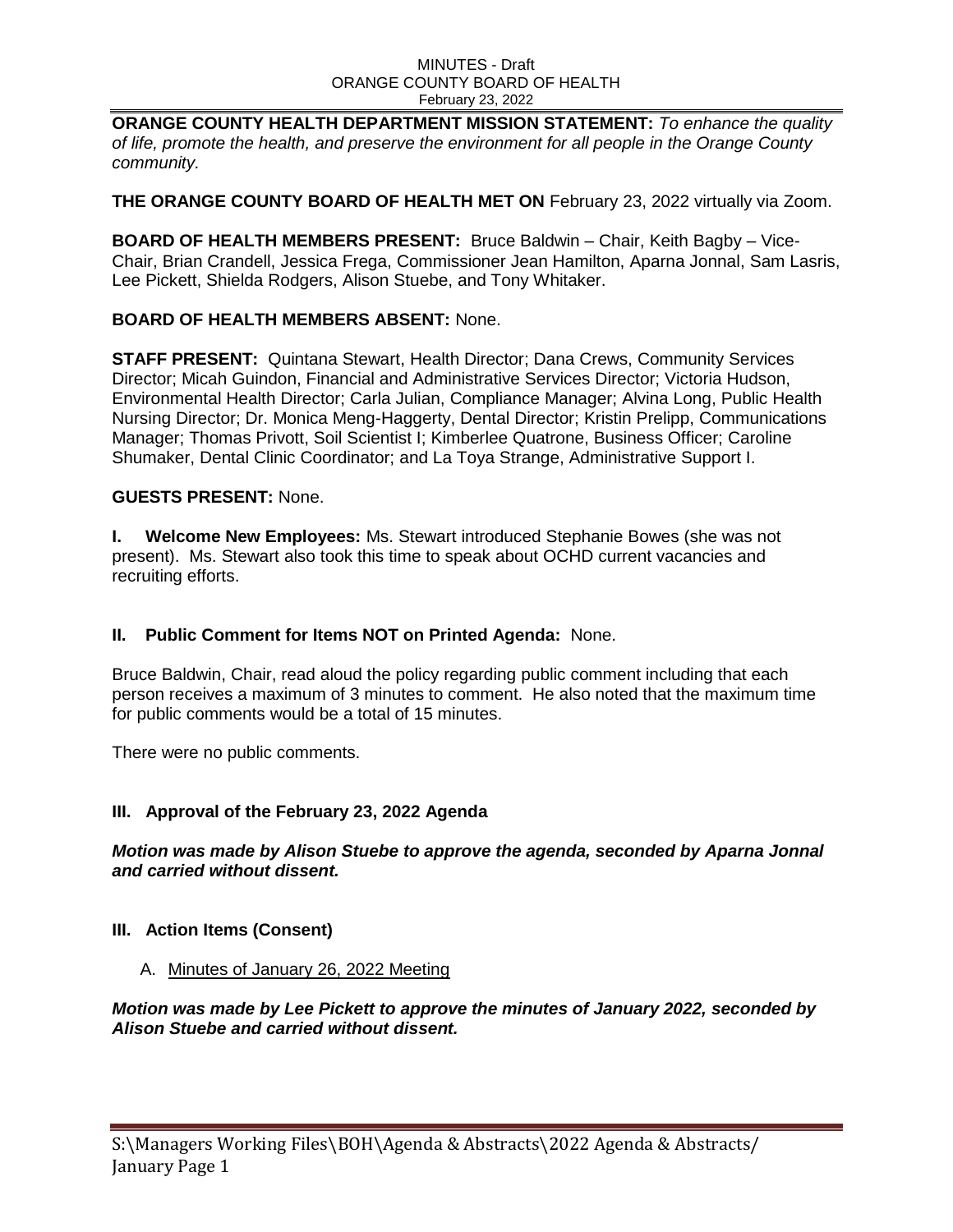#### MINUTES - Draft ORANGE COUNTY BOARD OF HEALTH February 23, 2022

**ORANGE COUNTY HEALTH DEPARTMENT MISSION STATEMENT:** *To enhance the quality of life, promote the health, and preserve the environment for all people in the Orange County community.*

**THE ORANGE COUNTY BOARD OF HEALTH MET ON February 23, 2022 virtually via Zoom.** 

**BOARD OF HEALTH MEMBERS PRESENT:** Bruce Baldwin – Chair, Keith Bagby – Vice-Chair, Brian Crandell, Jessica Frega, Commissioner Jean Hamilton, Aparna Jonnal, Sam Lasris, Lee Pickett, Shielda Rodgers, Alison Stuebe, and Tony Whitaker.

# **BOARD OF HEALTH MEMBERS ABSENT:** None.

**STAFF PRESENT:** Quintana Stewart, Health Director; Dana Crews, Community Services Director; Micah Guindon, Financial and Administrative Services Director; Victoria Hudson, Environmental Health Director; Carla Julian, Compliance Manager; Alvina Long, Public Health Nursing Director; Dr. Monica Meng-Haggerty, Dental Director; Kristin Prelipp, Communications Manager; Thomas Privott, Soil Scientist I; Kimberlee Quatrone, Business Officer; Caroline Shumaker, Dental Clinic Coordinator; and La Toya Strange, Administrative Support I.

# **GUESTS PRESENT:** None.

**I. Welcome New Employees:** Ms. Stewart introduced Stephanie Bowes (she was not present). Ms. Stewart also took this time to speak about OCHD current vacancies and recruiting efforts.

# **II. Public Comment for Items NOT on Printed Agenda:** None.

Bruce Baldwin, Chair, read aloud the policy regarding public comment including that each person receives a maximum of 3 minutes to comment. He also noted that the maximum time for public comments would be a total of 15 minutes.

There were no public comments.

# **III. Approval of the February 23, 2022 Agenda**

# *Motion was made by Alison Stuebe to approve the agenda, seconded by Aparna Jonnal and carried without dissent.*

# **III. Action Items (Consent)**

# A. Minutes of January 26, 2022 Meeting

*Motion was made by Lee Pickett to approve the minutes of January 2022, seconded by Alison Stuebe and carried without dissent.*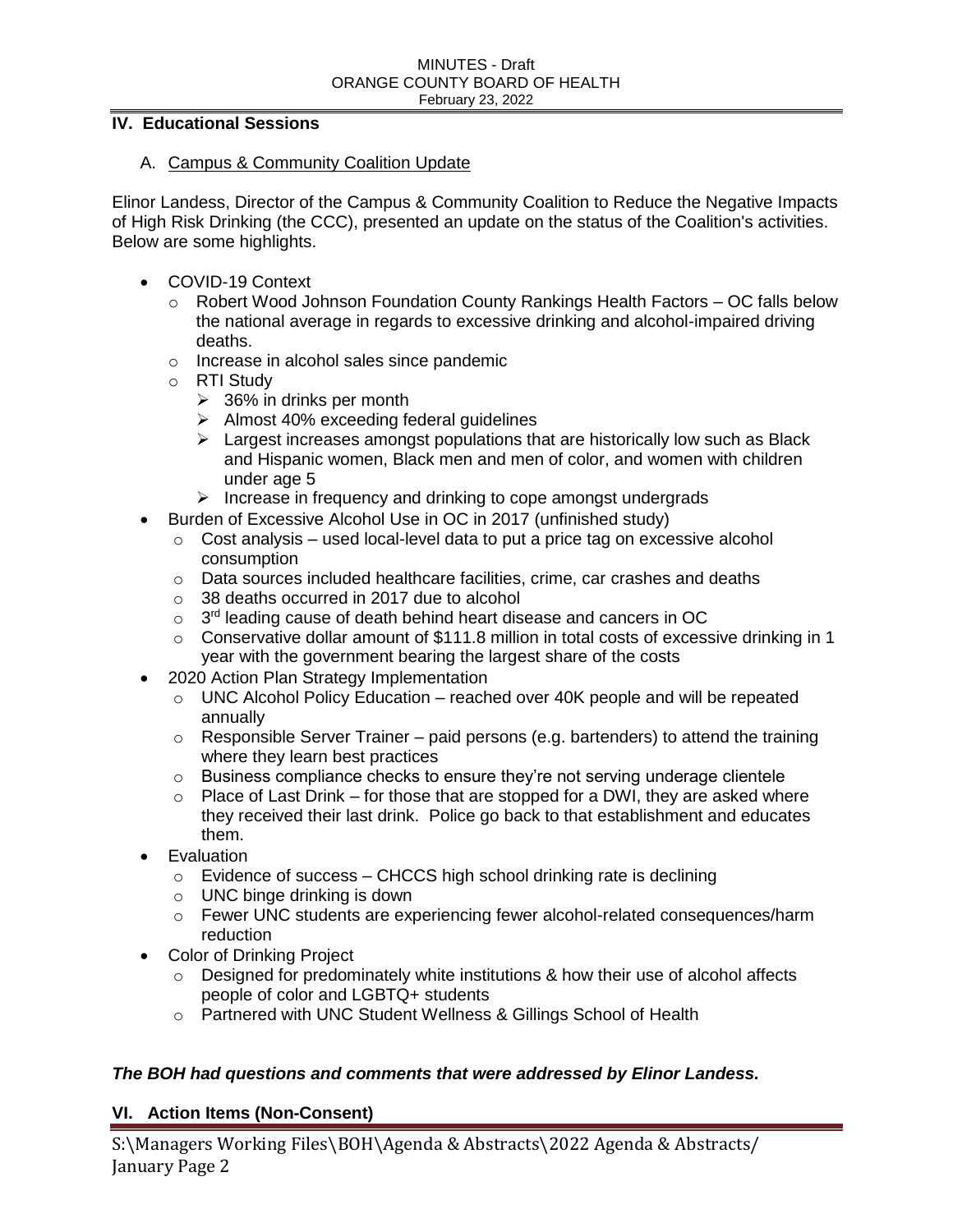## **IV. Educational Sessions**

### A. Campus & Community Coalition Update

Elinor Landess, Director of the Campus & Community Coalition to Reduce the Negative Impacts of High Risk Drinking (the CCC), presented an update on the status of the Coalition's activities. Below are some highlights.

- COVID-19 Context
	- o Robert Wood Johnson Foundation County Rankings Health Factors OC falls below the national average in regards to excessive drinking and alcohol-impaired driving deaths.
	- o Increase in alcohol sales since pandemic
	- o RTI Study
		- $\geq$  36% in drinks per month
		- $\triangleright$  Almost 40% exceeding federal guidelines
		- $\triangleright$  Largest increases amongst populations that are historically low such as Black and Hispanic women, Black men and men of color, and women with children under age 5
		- $\triangleright$  Increase in frequency and drinking to cope amongst undergrads
- Burden of Excessive Alcohol Use in OC in 2017 (unfinished study)
	- $\circ$  Cost analysis used local-level data to put a price tag on excessive alcohol consumption
	- o Data sources included healthcare facilities, crime, car crashes and deaths
	- o 38 deaths occurred in 2017 due to alcohol
	- $\circ$  3<sup>rd</sup> leading cause of death behind heart disease and cancers in OC
	- $\circ$  Conservative dollar amount of \$111.8 million in total costs of excessive drinking in 1 year with the government bearing the largest share of the costs
- 2020 Action Plan Strategy Implementation
	- o UNC Alcohol Policy Education reached over 40K people and will be repeated annually
	- o Responsible Server Trainer paid persons (e.g. bartenders) to attend the training where they learn best practices
	- $\circ$  Business compliance checks to ensure they're not serving underage clientele
	- $\circ$  Place of Last Drink for those that are stopped for a DWI, they are asked where they received their last drink. Police go back to that establishment and educates them.
- Evaluation
	- $\circ$  Evidence of success CHCCS high school drinking rate is declining
	- o UNC binge drinking is down
	- o Fewer UNC students are experiencing fewer alcohol-related consequences/harm reduction
- Color of Drinking Project
	- o Designed for predominately white institutions & how their use of alcohol affects people of color and LGBTQ+ students
	- o Partnered with UNC Student Wellness & Gillings School of Health

## *The BOH had questions and comments that were addressed by Elinor Landess.*

## **VI. Action Items (Non-Consent)**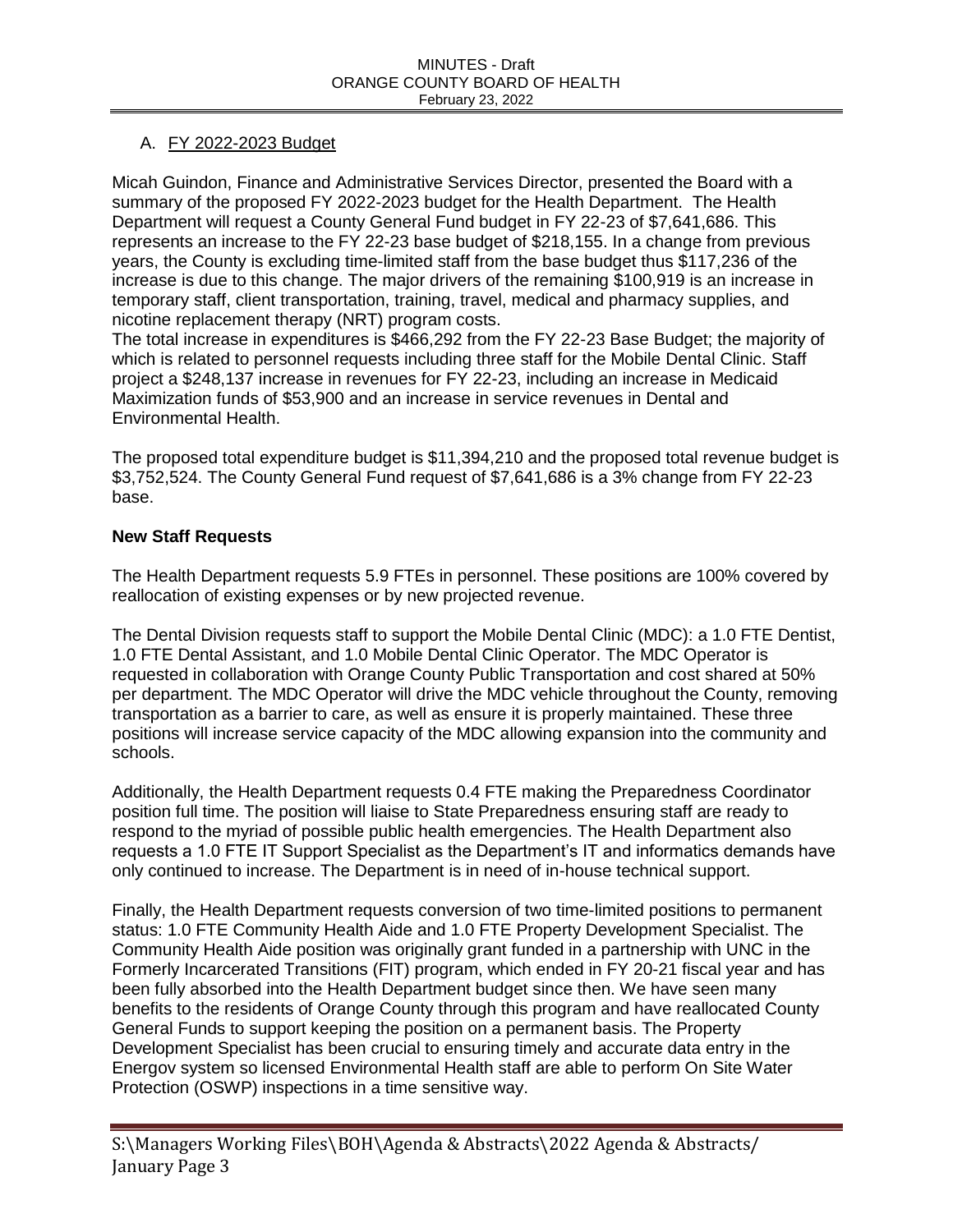# A. FY 2022-2023 Budget

Micah Guindon, Finance and Administrative Services Director, presented the Board with a summary of the proposed FY 2022-2023 budget for the Health Department. The Health Department will request a County General Fund budget in FY 22-23 of \$7,641,686. This represents an increase to the FY 22-23 base budget of \$218,155. In a change from previous years, the County is excluding time-limited staff from the base budget thus \$117,236 of the increase is due to this change. The major drivers of the remaining \$100,919 is an increase in temporary staff, client transportation, training, travel, medical and pharmacy supplies, and nicotine replacement therapy (NRT) program costs.

The total increase in expenditures is \$466,292 from the FY 22-23 Base Budget; the majority of which is related to personnel requests including three staff for the Mobile Dental Clinic. Staff project a \$248,137 increase in revenues for FY 22-23, including an increase in Medicaid Maximization funds of \$53,900 and an increase in service revenues in Dental and Environmental Health.

The proposed total expenditure budget is \$11,394,210 and the proposed total revenue budget is \$3,752,524. The County General Fund request of \$7,641,686 is a 3% change from FY 22-23 base.

# **New Staff Requests**

The Health Department requests 5.9 FTEs in personnel. These positions are 100% covered by reallocation of existing expenses or by new projected revenue.

The Dental Division requests staff to support the Mobile Dental Clinic (MDC): a 1.0 FTE Dentist, 1.0 FTE Dental Assistant, and 1.0 Mobile Dental Clinic Operator. The MDC Operator is requested in collaboration with Orange County Public Transportation and cost shared at 50% per department. The MDC Operator will drive the MDC vehicle throughout the County, removing transportation as a barrier to care, as well as ensure it is properly maintained. These three positions will increase service capacity of the MDC allowing expansion into the community and schools.

Additionally, the Health Department requests 0.4 FTE making the Preparedness Coordinator position full time. The position will liaise to State Preparedness ensuring staff are ready to respond to the myriad of possible public health emergencies. The Health Department also requests a 1.0 FTE IT Support Specialist as the Department's IT and informatics demands have only continued to increase. The Department is in need of in-house technical support.

Finally, the Health Department requests conversion of two time-limited positions to permanent status: 1.0 FTE Community Health Aide and 1.0 FTE Property Development Specialist. The Community Health Aide position was originally grant funded in a partnership with UNC in the Formerly Incarcerated Transitions (FIT) program, which ended in FY 20-21 fiscal year and has been fully absorbed into the Health Department budget since then. We have seen many benefits to the residents of Orange County through this program and have reallocated County General Funds to support keeping the position on a permanent basis. The Property Development Specialist has been crucial to ensuring timely and accurate data entry in the Energov system so licensed Environmental Health staff are able to perform On Site Water Protection (OSWP) inspections in a time sensitive way.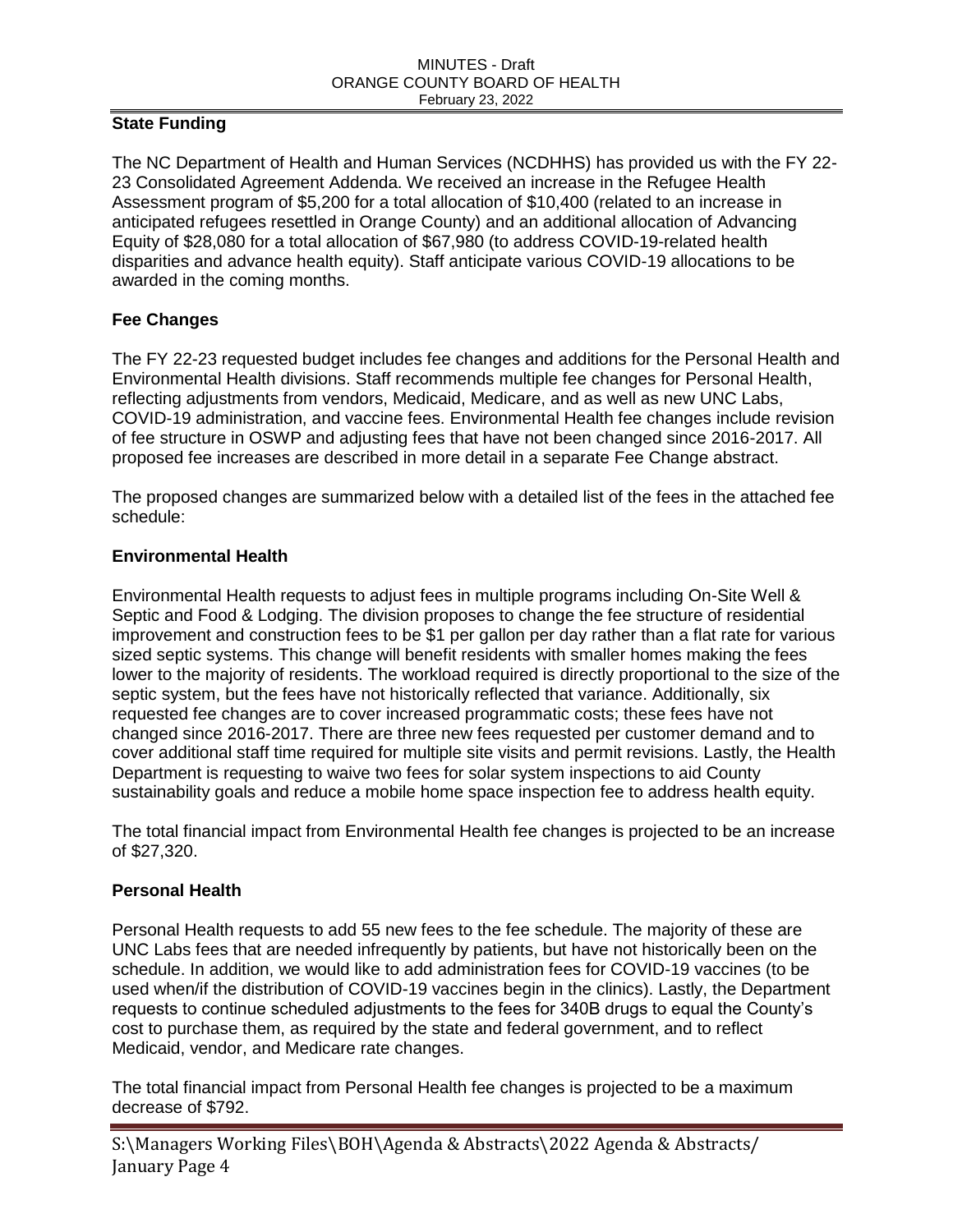## **State Funding**

The NC Department of Health and Human Services (NCDHHS) has provided us with the FY 22- 23 Consolidated Agreement Addenda. We received an increase in the Refugee Health Assessment program of \$5,200 for a total allocation of \$10,400 (related to an increase in anticipated refugees resettled in Orange County) and an additional allocation of Advancing Equity of \$28,080 for a total allocation of \$67,980 (to address COVID-19-related health disparities and advance health equity). Staff anticipate various COVID-19 allocations to be awarded in the coming months.

# **Fee Changes**

The FY 22-23 requested budget includes fee changes and additions for the Personal Health and Environmental Health divisions. Staff recommends multiple fee changes for Personal Health, reflecting adjustments from vendors, Medicaid, Medicare, and as well as new UNC Labs, COVID-19 administration, and vaccine fees. Environmental Health fee changes include revision of fee structure in OSWP and adjusting fees that have not been changed since 2016-2017. All proposed fee increases are described in more detail in a separate Fee Change abstract.

The proposed changes are summarized below with a detailed list of the fees in the attached fee schedule:

## **Environmental Health**

Environmental Health requests to adjust fees in multiple programs including On-Site Well & Septic and Food & Lodging. The division proposes to change the fee structure of residential improvement and construction fees to be \$1 per gallon per day rather than a flat rate for various sized septic systems. This change will benefit residents with smaller homes making the fees lower to the majority of residents. The workload required is directly proportional to the size of the septic system, but the fees have not historically reflected that variance. Additionally, six requested fee changes are to cover increased programmatic costs; these fees have not changed since 2016-2017. There are three new fees requested per customer demand and to cover additional staff time required for multiple site visits and permit revisions. Lastly, the Health Department is requesting to waive two fees for solar system inspections to aid County sustainability goals and reduce a mobile home space inspection fee to address health equity.

The total financial impact from Environmental Health fee changes is projected to be an increase of \$27,320.

## **Personal Health**

Personal Health requests to add 55 new fees to the fee schedule. The majority of these are UNC Labs fees that are needed infrequently by patients, but have not historically been on the schedule. In addition, we would like to add administration fees for COVID-19 vaccines (to be used when/if the distribution of COVID-19 vaccines begin in the clinics). Lastly, the Department requests to continue scheduled adjustments to the fees for 340B drugs to equal the County's cost to purchase them, as required by the state and federal government, and to reflect Medicaid, vendor, and Medicare rate changes.

The total financial impact from Personal Health fee changes is projected to be a maximum decrease of \$792.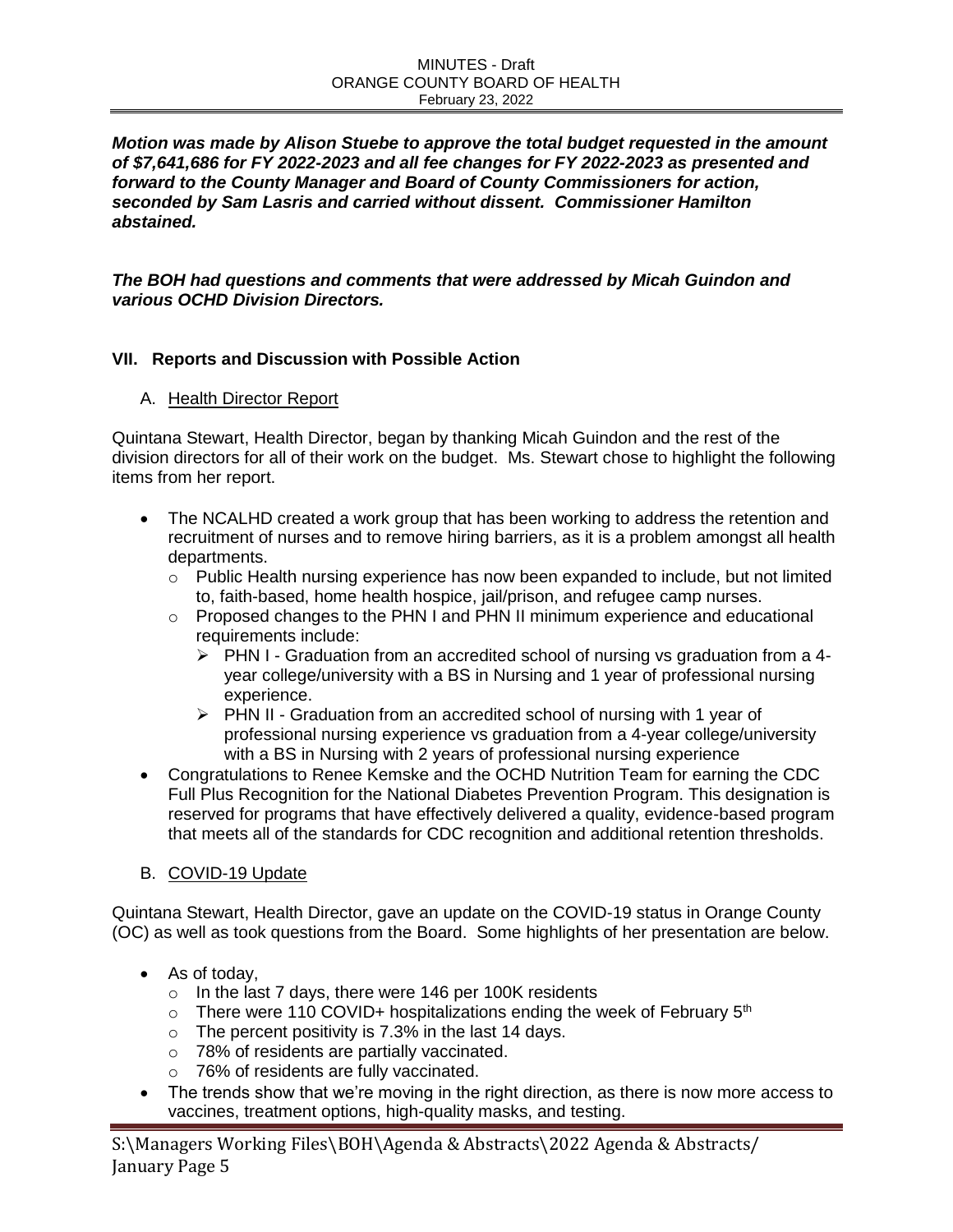#### MINUTES - Draft ORANGE COUNTY BOARD OF HEALTH February 23, 2022

*Motion was made by Alison Stuebe to approve the total budget requested in the amount of \$7,641,686 for FY 2022-2023 and all fee changes for FY 2022-2023 as presented and forward to the County Manager and Board of County Commissioners for action, seconded by Sam Lasris and carried without dissent. Commissioner Hamilton abstained.* 

*The BOH had questions and comments that were addressed by Micah Guindon and various OCHD Division Directors.*

## **VII. Reports and Discussion with Possible Action**

### A. Health Director Report

Quintana Stewart, Health Director, began by thanking Micah Guindon and the rest of the division directors for all of their work on the budget. Ms. Stewart chose to highlight the following items from her report.

- The NCALHD created a work group that has been working to address the retention and recruitment of nurses and to remove hiring barriers, as it is a problem amongst all health departments.
	- $\circ$  Public Health nursing experience has now been expanded to include, but not limited to, faith-based, home health hospice, jail/prison, and refugee camp nurses.
	- o Proposed changes to the PHN I and PHN II minimum experience and educational requirements include:
		- $\triangleright$  PHN I Graduation from an accredited school of nursing vs graduation from a 4year college/university with a BS in Nursing and 1 year of professional nursing experience.
		- $\triangleright$  PHN II Graduation from an accredited school of nursing with 1 year of professional nursing experience vs graduation from a 4-year college/university with a BS in Nursing with 2 years of professional nursing experience
- Congratulations to Renee Kemske and the OCHD Nutrition Team for earning the CDC Full Plus Recognition for the National Diabetes Prevention Program. This designation is reserved for programs that have effectively delivered a quality, evidence-based program that meets all of the standards for CDC recognition and additional retention thresholds.
- B. COVID-19 Update

Quintana Stewart, Health Director, gave an update on the COVID-19 status in Orange County (OC) as well as took questions from the Board. Some highlights of her presentation are below.

- As of today.
	- o In the last 7 days, there were 146 per 100K residents
	- $\circ$  There were 110 COVID+ hospitalizations ending the week of February 5<sup>th</sup>
	- $\circ$  The percent positivity is 7.3% in the last 14 days.
	- o 78% of residents are partially vaccinated.
	- o 76% of residents are fully vaccinated.
- The trends show that we're moving in the right direction, as there is now more access to vaccines, treatment options, high-quality masks, and testing.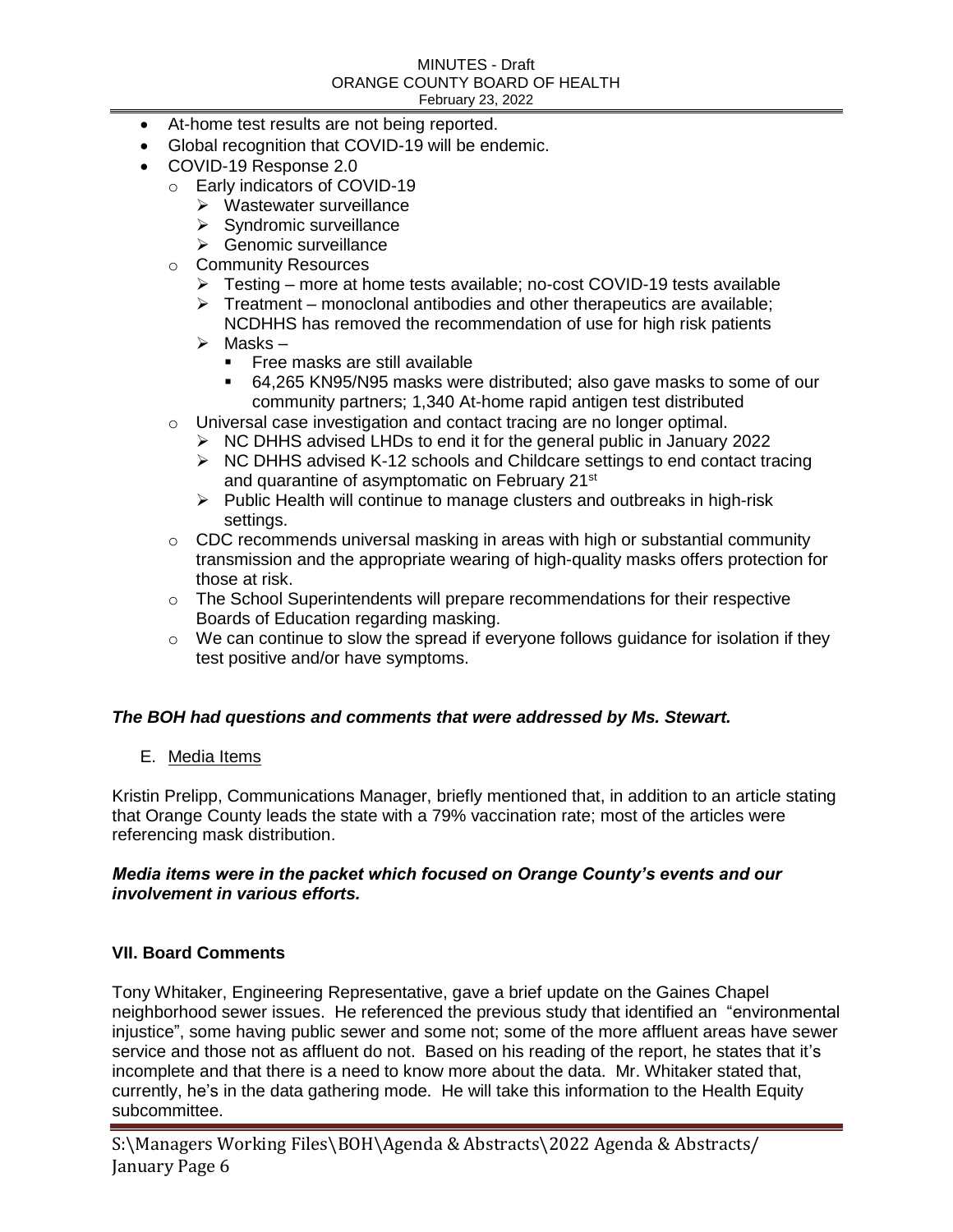#### MINUTES - Draft ORANGE COUNTY BOARD OF HEALTH February 23, 2022

- At-home test results are not being reported.
- Global recognition that COVID-19 will be endemic.
- COVID-19 Response 2.0
	- o Early indicators of COVID-19
		- $\triangleright$  Wastewater surveillance
		- $\triangleright$  Syndromic surveillance
		- Genomic surveillance
	- o Community Resources
		- Testing more at home tests available; no-cost COVID-19 tests available
		- $\triangleright$  Treatment monoclonal antibodies and other therapeutics are available; NCDHHS has removed the recommendation of use for high risk patients
		- $\triangleright$  Masks
			- **Free masks are still available**
			- 64,265 KN95/N95 masks were distributed; also gave masks to some of our community partners; 1,340 At-home rapid antigen test distributed
	- o Universal case investigation and contact tracing are no longer optimal.
		- $\triangleright$  NC DHHS advised LHDs to end it for the general public in January 2022
		- $\triangleright$  NC DHHS advised K-12 schools and Childcare settings to end contact tracing and quarantine of asymptomatic on February 21<sup>st</sup>
		- $\triangleright$  Public Health will continue to manage clusters and outbreaks in high-risk settings.
	- $\circ$  CDC recommends universal masking in areas with high or substantial community transmission and the appropriate wearing of high-quality masks offers protection for those at risk.
	- o The School Superintendents will prepare recommendations for their respective Boards of Education regarding masking.
	- $\circ$  We can continue to slow the spread if everyone follows guidance for isolation if they test positive and/or have symptoms.

## *The BOH had questions and comments that were addressed by Ms. Stewart.*

E. Media Items

Kristin Prelipp, Communications Manager, briefly mentioned that, in addition to an article stating that Orange County leads the state with a 79% vaccination rate; most of the articles were referencing mask distribution.

### *Media items were in the packet which focused on Orange County's events and our involvement in various efforts.*

## **VII. Board Comments**

Tony Whitaker, Engineering Representative, gave a brief update on the Gaines Chapel neighborhood sewer issues. He referenced the previous study that identified an "environmental injustice", some having public sewer and some not; some of the more affluent areas have sewer service and those not as affluent do not. Based on his reading of the report, he states that it's incomplete and that there is a need to know more about the data. Mr. Whitaker stated that, currently, he's in the data gathering mode. He will take this information to the Health Equity subcommittee.